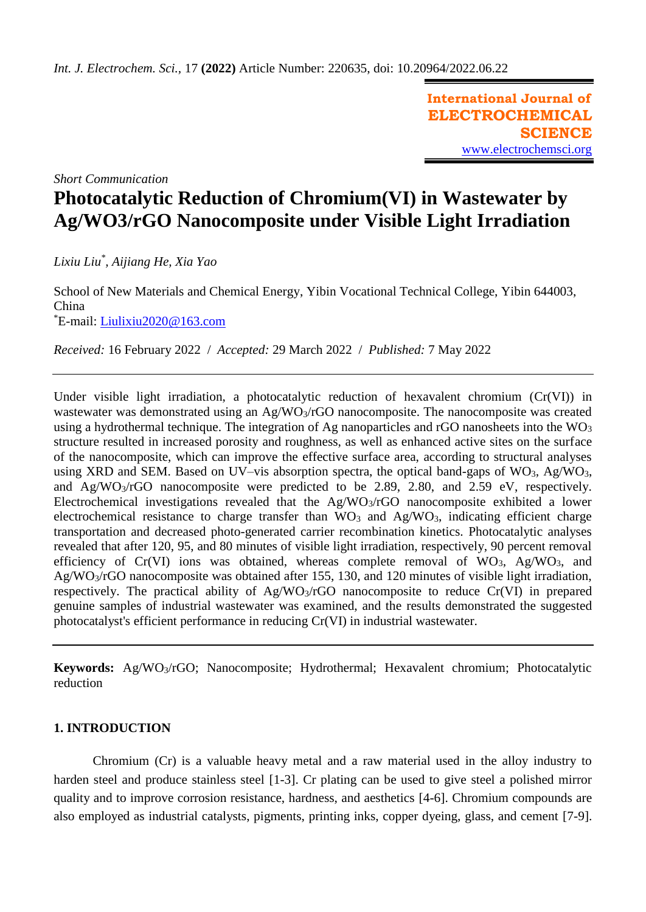**International Journal of ELECTROCHEMICAL SCIENCE** [www.electrochemsci.org](http://www.electrochemsci.org/)

*Short Communication*

# **Photocatalytic Reduction of Chromium(VI) in Wastewater by Ag/WO3/rGO Nanocomposite under Visible Light Irradiation**

*Lixiu Liu\* , Aijiang He, Xia Yao*

School of New Materials and Chemical Energy, Yibin Vocational Technical College, Yibin 644003, China \*E-mail: [Liulixiu2020@163.com](mailto:Liulixiu2020@163.com)

*Received:* 16 February 2022/ *Accepted:* 29 March 2022 / *Published:* 7 May 2022

Under visible light irradiation, a photocatalytic reduction of hexavalent chromium (Cr(VI)) in wastewater was demonstrated using an Ag/WO<sub>3</sub>/rGO nanocomposite. The nanocomposite was created using a hydrothermal technique. The integration of Ag nanoparticles and rGO nanosheets into the  $WO<sub>3</sub>$ structure resulted in increased porosity and roughness, as well as enhanced active sites on the surface of the nanocomposite, which can improve the effective surface area, according to structural analyses using XRD and SEM. Based on UV–vis absorption spectra, the optical band-gaps of  $WO_3$ , Ag/ $WO_3$ , and Ag/WO3/rGO nanocomposite were predicted to be 2.89, 2.80, and 2.59 eV, respectively. Electrochemical investigations revealed that the Ag/WO3/rGO nanocomposite exhibited a lower electrochemical resistance to charge transfer than  $\rm\bar{W}O_3$  and Ag/WO<sub>3</sub>, indicating efficient charge transportation and decreased photo-generated carrier recombination kinetics. Photocatalytic analyses revealed that after 120, 95, and 80 minutes of visible light irradiation, respectively, 90 percent removal efficiency of  $Cr(VI)$  ions was obtained, whereas complete removal of  $WO_3$ ,  $Ag/WO_3$ , and Ag/WO3/rGO nanocomposite was obtained after 155, 130, and 120 minutes of visible light irradiation, respectively. The practical ability of Ag/WO3/rGO nanocomposite to reduce Cr(VI) in prepared genuine samples of industrial wastewater was examined, and the results demonstrated the suggested photocatalyst's efficient performance in reducing Cr(VI) in industrial wastewater.

**Keywords:** Ag/WO3/rGO; Nanocomposite; Hydrothermal; Hexavalent chromium; Photocatalytic reduction

# **1. INTRODUCTION**

Chromium (Cr) is a valuable heavy metal and a raw material used in the alloy industry to harden steel and produce stainless steel [1-3]. Cr plating can be used to give steel a polished mirror quality and to improve corrosion resistance, hardness, and aesthetics [4-6]. Chromium compounds are also employed as industrial catalysts, pigments, printing inks, copper dyeing, glass, and cement [7-9].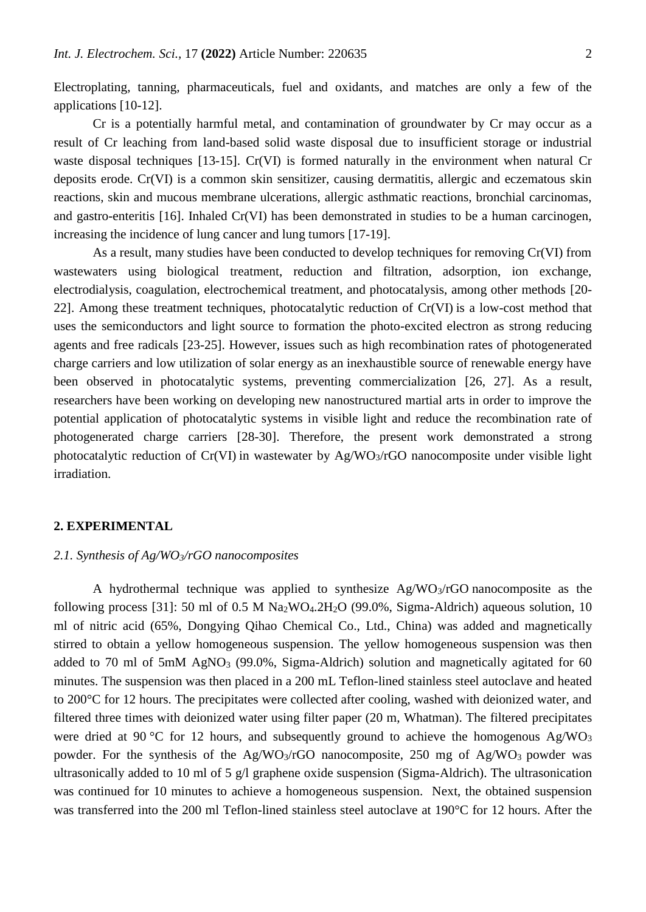Electroplating, tanning, pharmaceuticals, fuel and oxidants, and matches are only a few of the applications [10-12].

Cr is a potentially harmful metal, and contamination of groundwater by Cr may occur as a result of Cr leaching from land-based solid waste disposal due to insufficient storage or industrial waste disposal techniques [13-15]. Cr(VI) is formed naturally in the environment when natural Cr deposits erode. Cr(VI) is a common skin sensitizer, causing dermatitis, allergic and eczematous skin reactions, skin and mucous membrane ulcerations, allergic asthmatic reactions, bronchial carcinomas, and gastro-enteritis [16]. Inhaled Cr(VI) has been demonstrated in studies to be a human carcinogen, increasing the incidence of lung cancer and lung tumors [17-19].

As a result, many studies have been conducted to develop techniques for removing Cr(VI) from wastewaters using biological treatment, reduction and filtration, adsorption, ion exchange, electrodialysis, coagulation, electrochemical treatment, and photocatalysis, among other methods [20- 22]. Among these treatment techniques, photocatalytic reduction of Cr(VI) is a low-cost method that uses the semiconductors and light source to formation the photo-excited electron as strong reducing agents and free radicals [23-25]. However, issues such as high recombination rates of photogenerated charge carriers and low utilization of solar energy as an inexhaustible source of renewable energy have been observed in photocatalytic systems, preventing commercialization [26, 27]. As a result, researchers have been working on developing new nanostructured martial arts in order to improve the potential application of photocatalytic systems in visible light and reduce the recombination rate of photogenerated charge carriers [28-30]. Therefore, the present work demonstrated a strong photocatalytic reduction of Cr(VI) in wastewater by Ag/WO3/rGO nanocomposite under visible light irradiation.

### **2. EXPERIMENTAL**

# *2.1. Synthesis of Ag/WO3/rGO nanocomposites*

A hydrothermal technique was applied to synthesize  $Ag/WO<sub>3</sub>/rGO$  nanocomposite as the following process [31]: 50 ml of  $0.5 M Na<sub>2</sub>WO<sub>4</sub>.2H<sub>2</sub>O$  (99.0%, Sigma-Aldrich) aqueous solution, 10 ml of nitric acid (65%, Dongying Qihao Chemical Co., Ltd., China) was added and magnetically stirred to obtain a yellow homogeneous suspension. The yellow homogeneous suspension was then added to 70 ml of 5mM AgNO<sub>3</sub> (99.0%, Sigma-Aldrich) solution and magnetically agitated for 60 minutes. The suspension was then placed in a 200 mL Teflon-lined stainless steel autoclave and heated to 200°C for 12 hours. The precipitates were collected after cooling, washed with deionized water, and filtered three times with deionized water using filter paper (20 m, Whatman). The filtered precipitates were dried at 90 °C for 12 hours, and subsequently ground to achieve the homogenous  $Ag/WO<sub>3</sub>$ powder. For the synthesis of the  $Ag/WO<sub>3</sub>/rGO$  nanocomposite, 250 mg of  $Ag/WO<sub>3</sub>$  powder was ultrasonically added to 10 ml of 5 g/l graphene oxide suspension (Sigma-Aldrich). The ultrasonication was continued for 10 minutes to achieve a homogeneous suspension. Next, the obtained suspension was transferred into the 200 ml Teflon-lined stainless steel autoclave at 190°C for 12 hours. After the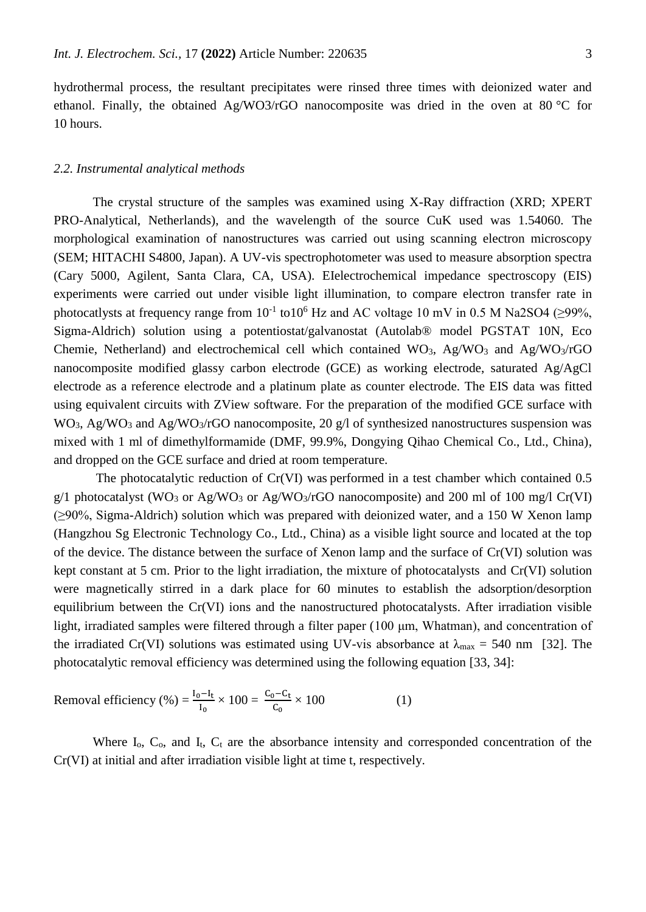hydrothermal process, the resultant precipitates were rinsed three times with deionized water and ethanol. Finally, the obtained Ag/WO3/rGO nanocomposite was dried in the oven at 80 °C for 10 hours.

#### *2.2. Instrumental analytical methods*

The crystal structure of the samples was examined using X-Ray diffraction (XRD; XPERT PRO-Analytical, Netherlands), and the wavelength of the source CuK used was 1.54060. The morphological examination of nanostructures was carried out using scanning electron microscopy (SEM; HITACHI S4800, Japan). A UV-vis spectrophotometer was used to measure absorption spectra (Cary 5000, Agilent, Santa Clara, CA, USA). EIelectrochemical impedance spectroscopy (EIS) experiments were carried out under visible light illumination, to compare electron transfer rate in photocatlysts at frequency range from  $10^{-1}$  to $10^6$  Hz and AC voltage 10 mV in 0.5 M Na2SO4 ( $\geq$ 99%, Sigma-Aldrich) solution using a potentiostat/galvanostat (Autolab® model PGSTAT 10N, Eco Chemie, Netherland) and electrochemical cell which contained  $WO_3$ , Ag/WO<sub>3</sub> and Ag/WO<sub>3</sub>/rGO nanocomposite modified glassy carbon electrode (GCE) as working electrode, saturated Ag/AgCl electrode as a reference electrode and a platinum plate as counter electrode. The EIS data was fitted using equivalent circuits with ZView software. For the preparation of the modified GCE surface with  $WO<sub>3</sub>$ , Ag/WO<sub>3</sub> and Ag/WO<sub>3</sub>/rGO nanocomposite, 20 g/l of synthesized nanostructures suspension was mixed with 1 ml of dimethylformamide (DMF, 99.9%, Dongying Qihao Chemical Co., Ltd., China), and dropped on the GCE surface and dried at room temperature.

The photocatalytic reduction of Cr(VI) was performed in a test chamber which contained 0.5 g/1 photocatalyst (WO<sub>3</sub> or Ag/WO<sub>3</sub> or Ag/WO<sub>3</sub>/rGO nanocomposite) and 200 ml of 100 mg/l Cr(VI) (≥90%, Sigma-Aldrich) solution which was prepared with deionized water, and a 150 W Xenon lamp (Hangzhou Sg Electronic Technology Co., Ltd., China) as a visible light source and located at the top of the device. The distance between the surface of Xenon lamp and the surface of Cr(VI) solution was kept constant at 5 cm. Prior to the light irradiation, the mixture of photocatalysts and Cr(VI) solution were magnetically stirred in a dark place for 60 minutes to establish the adsorption/desorption equilibrium between the Cr(VI) ions and the nanostructured photocatalysts. After irradiation visible light, irradiated samples were filtered through a filter paper (100 μm, Whatman), and concentration of the irradiated Cr(VI) solutions was estimated using UV-vis absorbance at  $\lambda_{\text{max}} = 540 \text{ nm}$  [32]. The photocatalytic removal efficiency was determined using the following equation [33, 34]:

Removal efficiency (%) = 
$$
\frac{I_0 - I_t}{I_0} \times 100 = \frac{C_0 - C_t}{C_0} \times 100
$$
 (1)

Where  $I_0$ ,  $C_0$ , and  $I_t$ ,  $C_t$  are the absorbance intensity and corresponded concentration of the Cr(VI) at initial and after irradiation visible light at time t, respectively.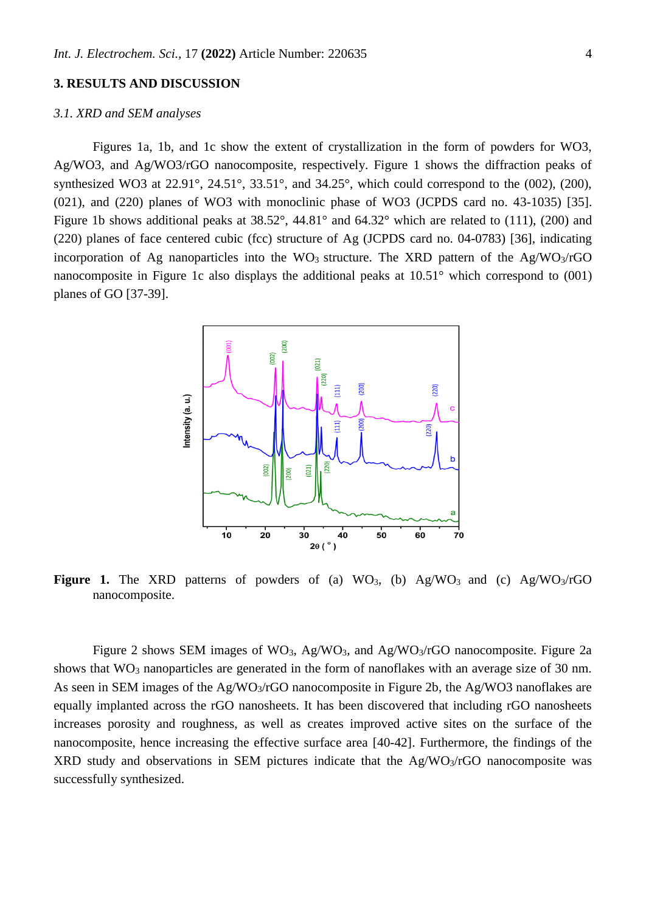## **3. RESULTS AND DISCUSSION**

## *3.1. XRD and SEM analyses*

Figures 1a, 1b, and 1c show the extent of crystallization in the form of powders for WO3, Ag/WO3, and Ag/WO3/rGO nanocomposite, respectively. Figure 1 shows the diffraction peaks of synthesized WO3 at  $22.91^\circ$ ,  $24.51^\circ$ ,  $33.51^\circ$ , and  $34.25^\circ$ , which could correspond to the (002), (200), (021), and (220) planes of WO3 with monoclinic phase of WO3 (JCPDS card no. 43-1035) [35]. Figure 1b shows additional peaks at 38.52°, 44.81° and 64.32° which are related to (111), (200) and (220) planes of face centered cubic (fcc) structure of Ag (JCPDS card no. 04-0783) [36], indicating incorporation of Ag nanoparticles into the WO<sub>3</sub> structure. The XRD pattern of the Ag/WO<sub>3</sub>/rGO nanocomposite in Figure 1c also displays the additional peaks at 10.51° which correspond to (001) planes of GO [37-39].



**Figure 1.** The XRD patterns of powders of (a)  $WO_3$ , (b)  $Ag/WO_3$  and (c)  $Ag/WO_3/rGO$ nanocomposite.

Figure 2 shows SEM images of WO<sub>3</sub>, Ag/WO<sub>3</sub>, and Ag/WO<sub>3</sub>/rGO nanocomposite. Figure 2a shows that WO<sub>3</sub> nanoparticles are generated in the form of nanoflakes with an average size of 30 nm. As seen in SEM images of the Ag/WO<sub>3</sub>/rGO nanocomposite in Figure 2b, the Ag/WO3 nanoflakes are equally implanted across the rGO nanosheets. It has been discovered that including rGO nanosheets increases porosity and roughness, as well as creates improved active sites on the surface of the nanocomposite, hence increasing the effective surface area [40-42]. Furthermore, the findings of the  $XRD$  study and observations in SEM pictures indicate that the  $Ag/WO<sub>3</sub>/rGO$  nanocomposite was successfully synthesized.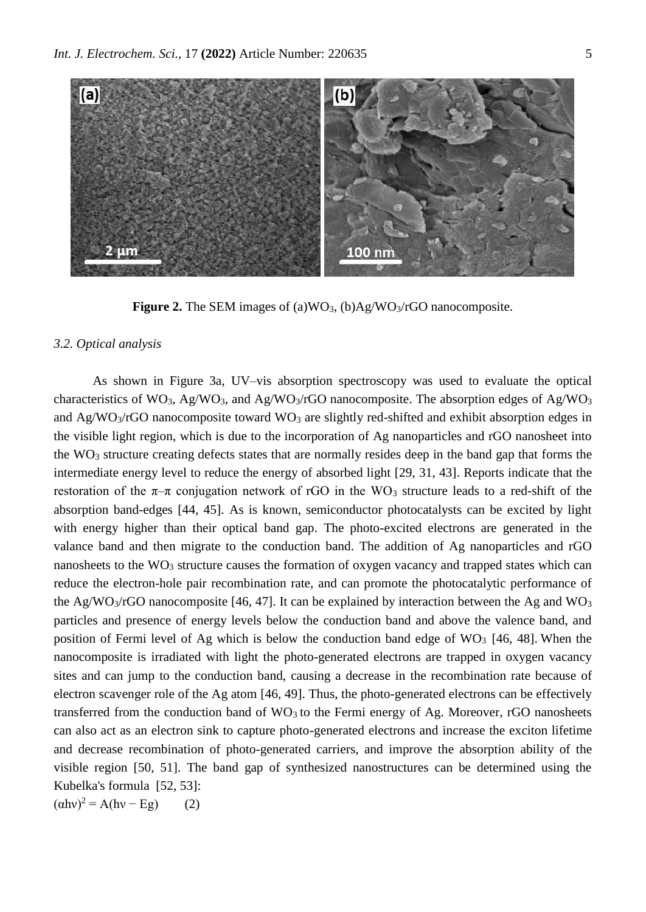

**Figure 2.** The SEM images of (a)WO<sub>3</sub>, (b)Ag/WO<sub>3</sub>/rGO nanocomposite.

### *3.2. Optical analysis*

As shown in Figure 3a, UV–vis absorption spectroscopy was used to evaluate the optical characteristics of WO<sub>3</sub>, Ag/WO<sub>3</sub>, and Ag/WO<sub>3</sub>/rGO nanocomposite. The absorption edges of Ag/WO<sub>3</sub> and  $Ag/WO<sub>3</sub>/rGO$  nanocomposite toward  $WO<sub>3</sub>$  are slightly red-shifted and exhibit absorption edges in the visible light region, which is due to the incorporation of Ag nanoparticles and rGO nanosheet into the  $WO<sub>3</sub>$  structure creating defects states that are normally resides deep in the band gap that forms the intermediate energy level to reduce the energy of absorbed light [29, 31, 43]. Reports indicate that the restoration of the  $\pi-\pi$  conjugation network of rGO in the WO<sub>3</sub> structure leads to a red-shift of the absorption band-edges [44, 45]. As is known, semiconductor photocatalysts can be excited by light with energy higher than their optical band gap. The photo-excited electrons are generated in the valance band and then migrate to the conduction band. The addition of Ag nanoparticles and rGO nanosheets to the  $WO_3$  structure causes the formation of oxygen vacancy and trapped states which can reduce the electron-hole pair recombination rate, and can promote the photocatalytic performance of the Ag/WO<sub>3</sub>/rGO nanocomposite [46, 47]. It can be explained by interaction between the Ag and WO<sub>3</sub> particles and presence of energy levels below the conduction band and above the valence band, and position of Fermi level of Ag which is below the conduction band edge of  $WO<sub>3</sub>$  [46, 48]. When the nanocomposite is irradiated with light the photo-generated electrons are trapped in oxygen vacancy sites and can jump to the conduction band, causing a decrease in the recombination rate because of electron scavenger role of the Ag atom [46, 49]. Thus, the photo-generated electrons can be effectively transferred from the conduction band of  $WO<sub>3</sub>$  to the Fermi energy of Ag. Moreover, rGO nanosheets can also act as an electron sink to capture photo-generated electrons and increase the exciton lifetime and decrease recombination of photo-generated carriers, and improve the absorption ability of the visible region [50, 51]. The band gap of synthesized nanostructures can be determined using the Kubelka's formula [52, 53]:

 $(\alpha$ hv<sup>2</sup> = A(hv – Eg) (2)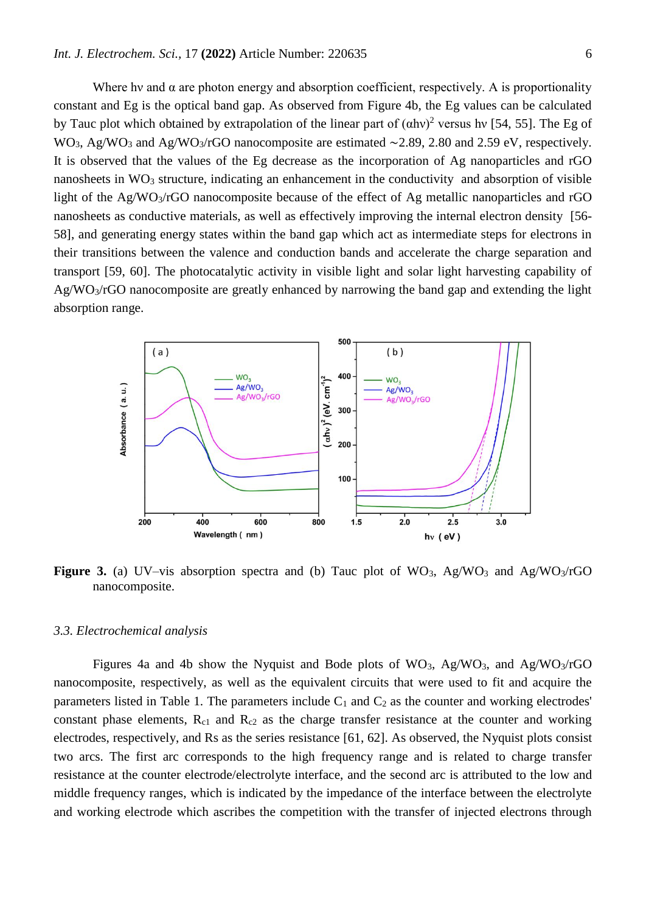Where hy and  $\alpha$  are photon energy and absorption coefficient, respectively. A is proportionality constant and Eg is the optical band gap. As observed from Figure 4b, the Eg values can be calculated by Tauc plot which obtained by extrapolation of the linear part of  $(\alpha h\nu)^2$  versus hv [54, 55]. The Eg of WO<sub>3</sub>, Ag/WO<sub>3</sub> and Ag/WO<sub>3</sub>/rGO nanocomposite are estimated ~2.89, 2.80 and 2.59 eV, respectively. It is observed that the values of the Eg decrease as the incorporation of Ag nanoparticles and rGO nanosheets in  $WO_3$  structure, indicating an enhancement in the conductivity and absorption of visible light of the Ag/WO3/rGO nanocomposite because of the effect of Ag metallic nanoparticles and rGO nanosheets as conductive materials, as well as effectively improving the internal electron density [56- 58], and generating energy states within the band gap which act as intermediate steps for electrons in their transitions between the valence and conduction bands and accelerate the charge separation and transport [59, 60]. The photocatalytic activity in visible light and solar light harvesting capability of Ag/WO3/rGO nanocomposite are greatly enhanced by narrowing the band gap and extending the light absorption range.



**Figure 3.** (a) UV–vis absorption spectra and (b) Tauc plot of  $WO_3$ ,  $Ag/WO_3$  and  $Ag/WO_3/rGO$ nanocomposite.

#### *3.3. Electrochemical analysis*

Figures 4a and 4b show the Nyquist and Bode plots of  $WO_3$ , Ag/WO<sub>3</sub>, and Ag/WO<sub>3</sub>/rGO nanocomposite, respectively, as well as the equivalent circuits that were used to fit and acquire the parameters listed in Table 1. The parameters include  $C_1$  and  $C_2$  as the counter and working electrodes' constant phase elements,  $R_{c1}$  and  $R_{c2}$  as the charge transfer resistance at the counter and working electrodes, respectively, and Rs as the series resistance [61, 62]. As observed, the Nyquist plots consist two arcs. The first arc corresponds to the high frequency range and is related to charge transfer resistance at the counter electrode/electrolyte interface, and the second arc is attributed to the low and middle frequency ranges, which is indicated by the impedance of the interface between the electrolyte and working electrode which ascribes the competition with the transfer of injected electrons through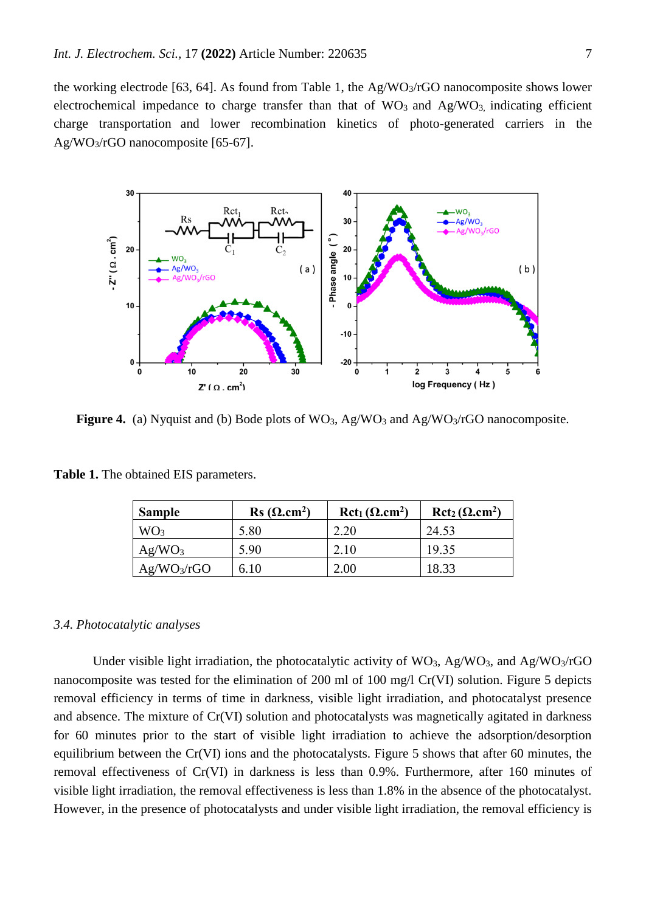the working electrode [63, 64]. As found from Table 1, the Ag/WO3/rGO nanocomposite shows lower electrochemical impedance to charge transfer than that of  $WO_3$  and  $Ag/WO_3$  indicating efficient charge transportation and lower recombination kinetics of photo-generated carriers in the Ag/WO3/rGO nanocomposite [65-67].



Figure 4. (a) Nyquist and (b) Bode plots of WO<sub>3</sub>, Ag/WO<sub>3</sub> and Ag/WO<sub>3</sub>/rGO nanocomposite.

| <b>Sample</b>           | $\text{Rs }(\Omega \text{.cm}^2)$ | $Rct_1(\Omega.cm^2)$ | $Rct_2(\Omega.cm^2)$ |
|-------------------------|-----------------------------------|----------------------|----------------------|
| WO <sub>3</sub>         | 5.80                              | 2.20                 | 24.53                |
| Ag/WO <sub>3</sub>      | 5.90                              | 2.10                 | 19.35                |
| Ag/WO <sub>3</sub> /rGO | 6.10                              | 2.00                 | 18.33                |

**Table 1.** The obtained EIS parameters.

#### *3.4. Photocatalytic analyses*

Under visible light irradiation, the photocatalytic activity of  $WO_3$ , Ag/WO<sub>3</sub>, and Ag/WO<sub>3</sub>/rGO nanocomposite was tested for the elimination of 200 ml of 100 mg/l Cr(VI) solution. Figure 5 depicts removal efficiency in terms of time in darkness, visible light irradiation, and photocatalyst presence and absence. The mixture of Cr(VI) solution and photocatalysts was magnetically agitated in darkness for 60 minutes prior to the start of visible light irradiation to achieve the adsorption/desorption equilibrium between the Cr(VI) ions and the photocatalysts. Figure 5 shows that after 60 minutes, the removal effectiveness of Cr(VI) in darkness is less than 0.9%. Furthermore, after 160 minutes of visible light irradiation, the removal effectiveness is less than 1.8% in the absence of the photocatalyst. However, in the presence of photocatalysts and under visible light irradiation, the removal efficiency is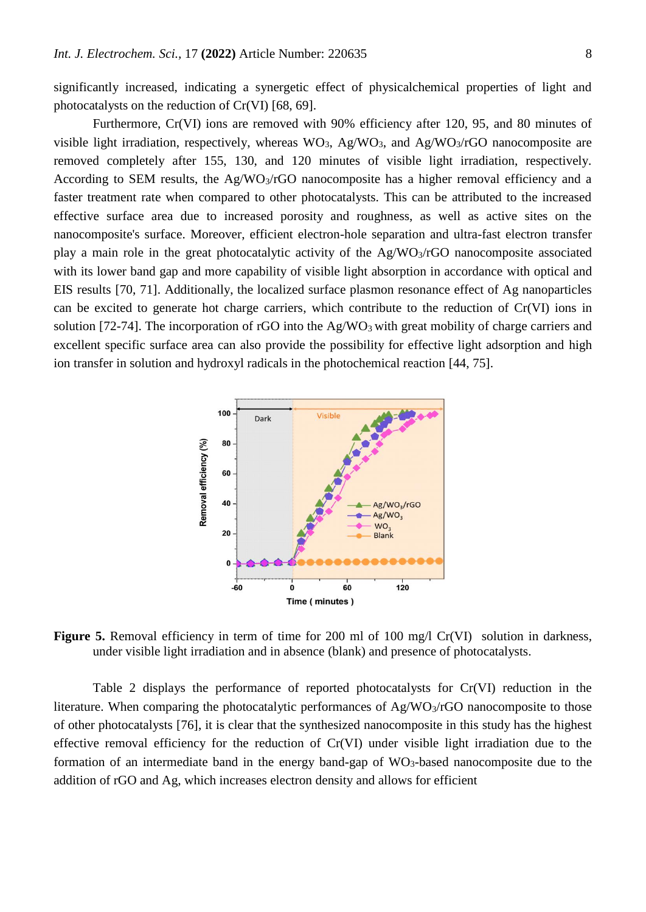significantly increased, indicating a synergetic effect of physicalchemical properties of light and photocatalysts on the reduction of Cr(VI) [68, 69].

Furthermore, Cr(VI) ions are removed with 90% efficiency after 120, 95, and 80 minutes of visible light irradiation, respectively, whereas  $WO_3$ , Ag/WO<sub>3</sub>, and Ag/WO<sub>3</sub>/rGO nanocomposite are removed completely after 155, 130, and 120 minutes of visible light irradiation, respectively. According to SEM results, the Ag/WO<sub>3</sub>/rGO nanocomposite has a higher removal efficiency and a faster treatment rate when compared to other photocatalysts. This can be attributed to the increased effective surface area due to increased porosity and roughness, as well as active sites on the nanocomposite's surface. Moreover, efficient electron-hole separation and ultra-fast electron transfer play a main role in the great photocatalytic activity of the Ag/WO3/rGO nanocomposite associated with its lower band gap and more capability of visible light absorption in accordance with optical and EIS results [70, 71]. Additionally, the localized surface plasmon resonance effect of Ag nanoparticles can be excited to generate hot charge carriers, which contribute to the reduction of Cr(VI) ions in solution [72-74]. The incorporation of rGO into the  $Ag/WO<sub>3</sub>$  with great mobility of charge carriers and excellent specific surface area can also provide the possibility for effective light adsorption and high ion transfer in solution and hydroxyl radicals in the photochemical reaction [44, 75].



Figure 5. Removal efficiency in term of time for 200 ml of 100 mg/l Cr(VI) solution in darkness, under visible light irradiation and in absence (blank) and presence of photocatalysts.

Table 2 displays the performance of reported photocatalysts for Cr(VI) reduction in the literature. When comparing the photocatalytic performances of  $Ag/WO<sub>3</sub>/rGO$  nanocomposite to those of other photocatalysts [76], it is clear that the synthesized nanocomposite in this study has the highest effective removal efficiency for the reduction of Cr(VI) under visible light irradiation due to the formation of an intermediate band in the energy band-gap of  $WO_3$ -based nanocomposite due to the addition of rGO and Ag, which increases electron density and allows for efficient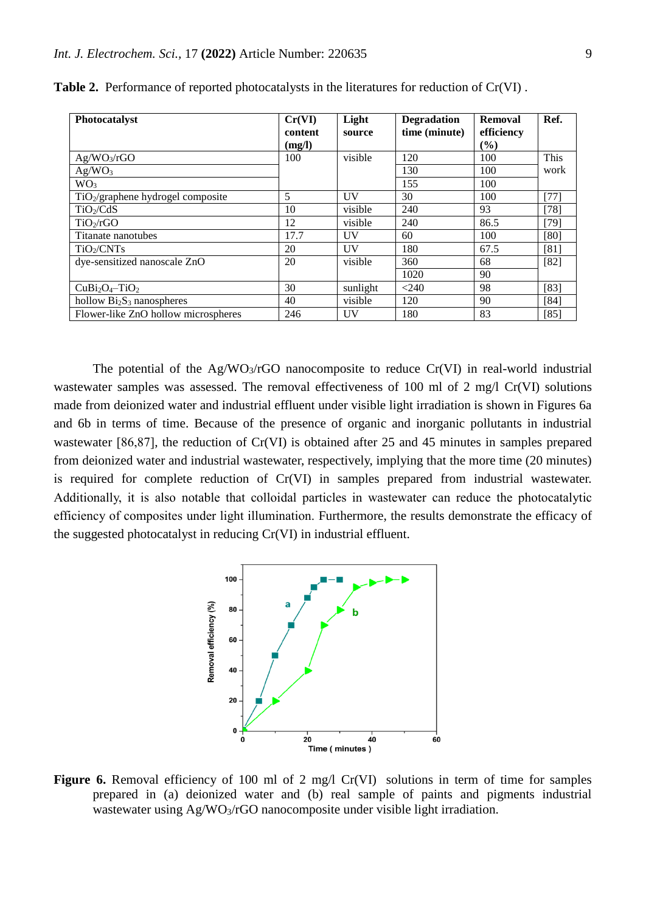| Photocatalyst                       | Cr(VI)  | Light     | <b>Degradation</b> | <b>Removal</b> | Ref.   |
|-------------------------------------|---------|-----------|--------------------|----------------|--------|
|                                     | content | source    | time (minute)      | efficiency     |        |
|                                     | (mg/l)  |           |                    | (%)            |        |
| Ag/WO <sub>3</sub> /rGO             | 100     | visible   | 120                | 100            | This   |
| Ag/WO <sub>3</sub>                  |         |           | 130                | 100            | work   |
| WO <sub>3</sub>                     |         |           | 155                | 100            |        |
| $TiO2/graphene$ hydrogel composite  | 5       | UV        | 30                 | 100            | $[77]$ |
| TiO <sub>2</sub> /CdS               | 10      | visible   | 240                | 93             | $[78]$ |
| TiO <sub>2</sub> /rGO               | 12      | visible   | 240                | 86.5           | $[79]$ |
| Titanate nanotubes                  | 17.7    | UV        | 60                 | 100            | [80]   |
| TiO <sub>2</sub> /CNTs              | 20      | <b>UV</b> | 180                | 67.5           | [81]   |
| dye-sensitized nanoscale ZnO        | 20      | visible   | 360                | 68             | $[82]$ |
|                                     |         |           | 1020               | 90             |        |
| $CuBi2O4 - TiO2$                    | 30      | sunlight  | < 240              | 98             | $[83]$ |
| hollow $Bi2S3$ nanospheres          | 40      | visible   | 120                | 90             | [84]   |
| Flower-like ZnO hollow microspheres | 246     | UV        | 180                | 83             | $[85]$ |

**Table 2.** Performance of reported photocatalysts in the literatures for reduction of Cr(VI) .

The potential of the  $Ag/WO_3/rGO$  nanocomposite to reduce  $Cr(VI)$  in real-world industrial wastewater samples was assessed. The removal effectiveness of 100 ml of 2 mg/l Cr(VI) solutions made from deionized water and industrial effluent under visible light irradiation is shown in Figures 6a and 6b in terms of time. Because of the presence of organic and inorganic pollutants in industrial wastewater [86,87], the reduction of Cr(VI) is obtained after 25 and 45 minutes in samples prepared from deionized water and industrial wastewater, respectively, implying that the more time (20 minutes) is required for complete reduction of Cr(VI) in samples prepared from industrial wastewater. Additionally, it is also notable that colloidal particles in wastewater can reduce the photocatalytic efficiency of composites under light illumination. Furthermore, the results demonstrate the efficacy of the suggested photocatalyst in reducing Cr(VI) in industrial effluent.



Figure 6. Removal efficiency of 100 ml of 2 mg/l Cr(VI) solutions in term of time for samples prepared in (a) deionized water and (b) real sample of paints and pigments industrial wastewater using Ag/WO<sub>3</sub>/rGO nanocomposite under visible light irradiation.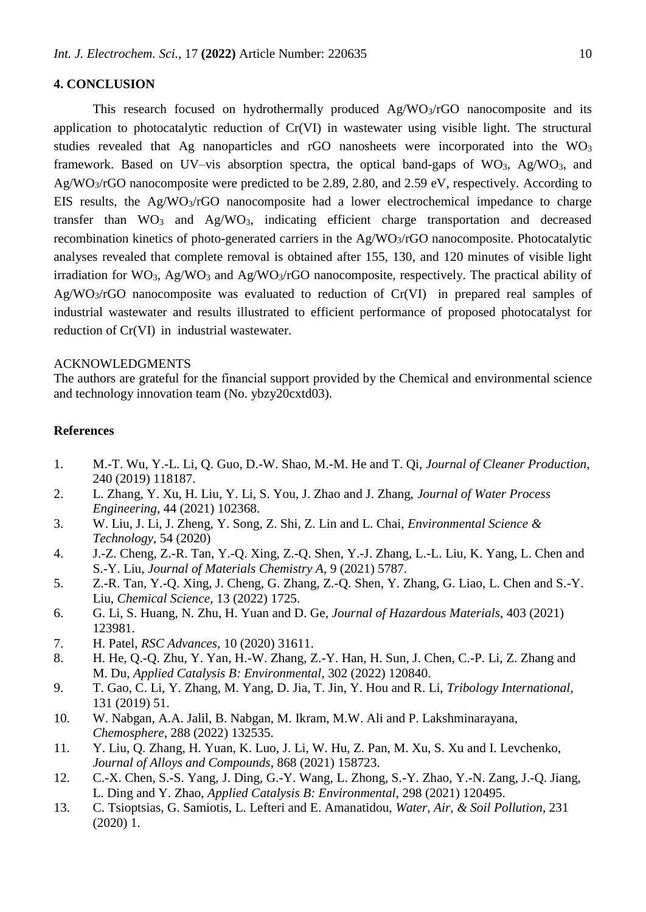## **4. CONCLUSION**

This research focused on hydrothermally produced Ag/WO3/rGO nanocomposite and its application to photocatalytic reduction of Cr(VI) in wastewater using visible light. The structural studies revealed that Ag nanoparticles and rGO nanosheets were incorporated into the  $WO<sub>3</sub>$ framework. Based on UV–vis absorption spectra, the optical band-gaps of  $WO_3$ , Ag/ $WO_3$ , and Ag/WO3/rGO nanocomposite were predicted to be 2.89, 2.80, and 2.59 eV, respectively. According to EIS results, the  $Ag/WO<sub>3</sub>/rGO$  nanocomposite had a lower electrochemical impedance to charge transfer than  $WO_3$  and  $Ag/WO_3$ , indicating efficient charge transportation and decreased recombination kinetics of photo-generated carriers in the Ag/WO3/rGO nanocomposite. Photocatalytic analyses revealed that complete removal is obtained after 155, 130, and 120 minutes of visible light irradiation for  $WO_3$ , Ag/WO<sub>3</sub> and Ag/WO<sub>3</sub>/rGO nanocomposite, respectively. The practical ability of  $Ag/WO<sub>3</sub>/rGO$  nanocomposite was evaluated to reduction of  $Cr(VI)$  in prepared real samples of industrial wastewater and results illustrated to efficient performance of proposed photocatalyst for reduction of Cr(VI) in industrial wastewater.

# ACKNOWLEDGMENTS

The authors are grateful for the financial support provided by the Chemical and environmental science and technology innovation team (No. ybzy20cxtd03).

## **References**

- 1. M.-T. Wu, Y.-L. Li, Q. Guo, D.-W. Shao, M.-M. He and T. Qi, *Journal of Cleaner Production*, 240 (2019) 118187.
- 2. L. Zhang, Y. Xu, H. Liu, Y. Li, S. You, J. Zhao and J. Zhang, *Journal of Water Process Engineering*, 44 (2021) 102368.
- 3. W. Liu, J. Li, J. Zheng, Y. Song, Z. Shi, Z. Lin and L. Chai, *Environmental Science & Technology*, 54 (2020)
- 4. J.-Z. Cheng, Z.-R. Tan, Y.-Q. Xing, Z.-Q. Shen, Y.-J. Zhang, L.-L. Liu, K. Yang, L. Chen and S.-Y. Liu, *Journal of Materials Chemistry A*, 9 (2021) 5787.
- 5. Z.-R. Tan, Y.-Q. Xing, J. Cheng, G. Zhang, Z.-Q. Shen, Y. Zhang, G. Liao, L. Chen and S.-Y. Liu, *Chemical Science*, 13 (2022) 1725.
- 6. G. Li, S. Huang, N. Zhu, H. Yuan and D. Ge, *Journal of Hazardous Materials*, 403 (2021) 123981.
- 7. H. Patel, *RSC Advances*, 10 (2020) 31611.
- 8. H. He, Q.-Q. Zhu, Y. Yan, H.-W. Zhang, Z.-Y. Han, H. Sun, J. Chen, C.-P. Li, Z. Zhang and M. Du, *Applied Catalysis B: Environmental*, 302 (2022) 120840.
- 9. T. Gao, C. Li, Y. Zhang, M. Yang, D. Jia, T. Jin, Y. Hou and R. Li, *Tribology International*, 131 (2019) 51.
- 10. W. Nabgan, A.A. Jalil, B. Nabgan, M. Ikram, M.W. Ali and P. Lakshminarayana, *Chemosphere*, 288 (2022) 132535.
- 11. Y. Liu, Q. Zhang, H. Yuan, K. Luo, J. Li, W. Hu, Z. Pan, M. Xu, S. Xu and I. Levchenko, *Journal of Alloys and Compounds*, 868 (2021) 158723.
- 12. C.-X. Chen, S.-S. Yang, J. Ding, G.-Y. Wang, L. Zhong, S.-Y. Zhao, Y.-N. Zang, J.-Q. Jiang, L. Ding and Y. Zhao, *Applied Catalysis B: Environmental*, 298 (2021) 120495.
- 13. C. Tsioptsias, G. Samiotis, L. Lefteri and E. Amanatidou, *Water, Air, & Soil Pollution*, 231 (2020) 1.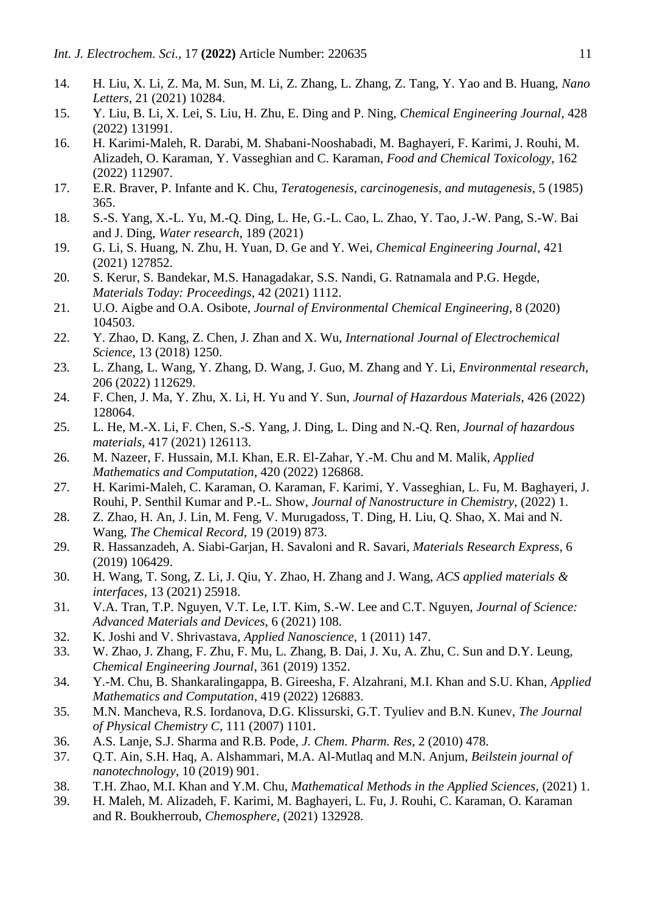- 14. H. Liu, X. Li, Z. Ma, M. Sun, M. Li, Z. Zhang, L. Zhang, Z. Tang, Y. Yao and B. Huang, *Nano Letters*, 21 (2021) 10284.
- 15. Y. Liu, B. Li, X. Lei, S. Liu, H. Zhu, E. Ding and P. Ning, *Chemical Engineering Journal*, 428 (2022) 131991.
- 16. H. Karimi-Maleh, R. Darabi, M. Shabani-Nooshabadi, M. Baghayeri, F. Karimi, J. Rouhi, M. Alizadeh, O. Karaman, Y. Vasseghian and C. Karaman, *Food and Chemical Toxicology*, 162 (2022) 112907.
- 17. E.R. Braver, P. Infante and K. Chu, *Teratogenesis, carcinogenesis, and mutagenesis*, 5 (1985) 365.
- 18. S.-S. Yang, X.-L. Yu, M.-Q. Ding, L. He, G.-L. Cao, L. Zhao, Y. Tao, J.-W. Pang, S.-W. Bai and J. Ding, *Water research*, 189 (2021)
- 19. G. Li, S. Huang, N. Zhu, H. Yuan, D. Ge and Y. Wei, *Chemical Engineering Journal*, 421 (2021) 127852.
- 20. S. Kerur, S. Bandekar, M.S. Hanagadakar, S.S. Nandi, G. Ratnamala and P.G. Hegde, *Materials Today: Proceedings*, 42 (2021) 1112.
- 21. U.O. Aigbe and O.A. Osibote, *Journal of Environmental Chemical Engineering*, 8 (2020) 104503.
- 22. Y. Zhao, D. Kang, Z. Chen, J. Zhan and X. Wu, *International Journal of Electrochemical Science*, 13 (2018) 1250.
- 23. L. Zhang, L. Wang, Y. Zhang, D. Wang, J. Guo, M. Zhang and Y. Li, *Environmental research*, 206 (2022) 112629.
- 24. F. Chen, J. Ma, Y. Zhu, X. Li, H. Yu and Y. Sun, *Journal of Hazardous Materials*, 426 (2022) 128064.
- 25. L. He, M.-X. Li, F. Chen, S.-S. Yang, J. Ding, L. Ding and N.-Q. Ren, *Journal of hazardous materials*, 417 (2021) 126113.
- 26. M. Nazeer, F. Hussain, M.I. Khan, E.R. El-Zahar, Y.-M. Chu and M. Malik, *Applied Mathematics and Computation*, 420 (2022) 126868.
- 27. H. Karimi-Maleh, C. Karaman, O. Karaman, F. Karimi, Y. Vasseghian, L. Fu, M. Baghayeri, J. Rouhi, P. Senthil Kumar and P.-L. Show, *Journal of Nanostructure in Chemistry*, (2022) 1.
- 28. Z. Zhao, H. An, J. Lin, M. Feng, V. Murugadoss, T. Ding, H. Liu, Q. Shao, X. Mai and N. Wang, *The Chemical Record*, 19 (2019) 873.
- 29. R. Hassanzadeh, A. Siabi-Garjan, H. Savaloni and R. Savari, *Materials Research Express*, 6 (2019) 106429.
- 30. H. Wang, T. Song, Z. Li, J. Qiu, Y. Zhao, H. Zhang and J. Wang, *ACS applied materials & interfaces*, 13 (2021) 25918.
- 31. V.A. Tran, T.P. Nguyen, V.T. Le, I.T. Kim, S.-W. Lee and C.T. Nguyen, *Journal of Science: Advanced Materials and Devices*, 6 (2021) 108.
- 32. K. Joshi and V. Shrivastava, *Applied Nanoscience*, 1 (2011) 147.
- 33. W. Zhao, J. Zhang, F. Zhu, F. Mu, L. Zhang, B. Dai, J. Xu, A. Zhu, C. Sun and D.Y. Leung, *Chemical Engineering Journal*, 361 (2019) 1352.
- 34. Y.-M. Chu, B. Shankaralingappa, B. Gireesha, F. Alzahrani, M.I. Khan and S.U. Khan, *Applied Mathematics and Computation*, 419 (2022) 126883.
- 35. M.N. Mancheva, R.S. Iordanova, D.G. Klissurski, G.T. Tyuliev and B.N. Kunev, *The Journal of Physical Chemistry C*, 111 (2007) 1101.
- 36. A.S. Lanje, S.J. Sharma and R.B. Pode, *J. Chem. Pharm. Res*, 2 (2010) 478.
- 37. Q.T. Ain, S.H. Haq, A. Alshammari, M.A. Al-Mutlaq and M.N. Anjum, *Beilstein journal of nanotechnology*, 10 (2019) 901.
- 38. T.H. Zhao, M.I. Khan and Y.M. Chu, *Mathematical Methods in the Applied Sciences*, (2021) 1.
- 39. H. Maleh, M. Alizadeh, F. Karimi, M. Baghayeri, L. Fu, J. Rouhi, C. Karaman, O. Karaman and R. Boukherroub, *Chemosphere*, (2021) 132928.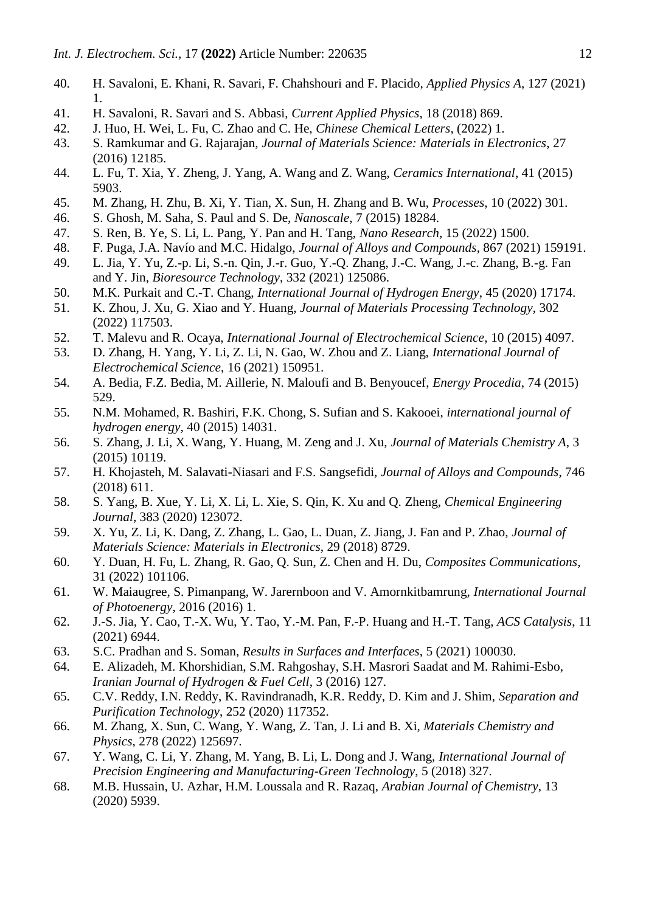- 40. H. Savaloni, E. Khani, R. Savari, F. Chahshouri and F. Placido, *Applied Physics A*, 127 (2021) 1.
- 41. H. Savaloni, R. Savari and S. Abbasi, *Current Applied Physics*, 18 (2018) 869.
- 42. J. Huo, H. Wei, L. Fu, C. Zhao and C. He, *Chinese Chemical Letters*, (2022) 1.
- 43. S. Ramkumar and G. Rajarajan, *Journal of Materials Science: Materials in Electronics*, 27 (2016) 12185.
- 44. L. Fu, T. Xia, Y. Zheng, J. Yang, A. Wang and Z. Wang, *Ceramics International*, 41 (2015) 5903.
- 45. M. Zhang, H. Zhu, B. Xi, Y. Tian, X. Sun, H. Zhang and B. Wu, *Processes*, 10 (2022) 301.
- 46. S. Ghosh, M. Saha, S. Paul and S. De, *Nanoscale*, 7 (2015) 18284.
- 47. S. Ren, B. Ye, S. Li, L. Pang, Y. Pan and H. Tang, *Nano Research*, 15 (2022) 1500.
- 48. F. Puga, J.A. Navío and M.C. Hidalgo, *Journal of Alloys and Compounds*, 867 (2021) 159191.
- 49. L. Jia, Y. Yu, Z.-p. Li, S.-n. Qin, J.-r. Guo, Y.-Q. Zhang, J.-C. Wang, J.-c. Zhang, B.-g. Fan and Y. Jin, *Bioresource Technology*, 332 (2021) 125086.
- 50. M.K. Purkait and C.-T. Chang, *International Journal of Hydrogen Energy*, 45 (2020) 17174.
- 51. K. Zhou, J. Xu, G. Xiao and Y. Huang, *Journal of Materials Processing Technology*, 302 (2022) 117503.
- 52. T. Malevu and R. Ocaya, *International Journal of Electrochemical Science*, 10 (2015) 4097.
- 53. D. Zhang, H. Yang, Y. Li, Z. Li, N. Gao, W. Zhou and Z. Liang, *International Journal of Electrochemical Science*, 16 (2021) 150951.
- 54. A. Bedia, F.Z. Bedia, M. Aillerie, N. Maloufi and B. Benyoucef, *Energy Procedia*, 74 (2015) 529.
- 55. N.M. Mohamed, R. Bashiri, F.K. Chong, S. Sufian and S. Kakooei, *international journal of hydrogen energy*, 40 (2015) 14031.
- 56. S. Zhang, J. Li, X. Wang, Y. Huang, M. Zeng and J. Xu, *Journal of Materials Chemistry A*, 3 (2015) 10119.
- 57. H. Khojasteh, M. Salavati-Niasari and F.S. Sangsefidi, *Journal of Alloys and Compounds*, 746 (2018) 611.
- 58. S. Yang, B. Xue, Y. Li, X. Li, L. Xie, S. Qin, K. Xu and Q. Zheng, *Chemical Engineering Journal*, 383 (2020) 123072.
- 59. X. Yu, Z. Li, K. Dang, Z. Zhang, L. Gao, L. Duan, Z. Jiang, J. Fan and P. Zhao, *Journal of Materials Science: Materials in Electronics*, 29 (2018) 8729.
- 60. Y. Duan, H. Fu, L. Zhang, R. Gao, Q. Sun, Z. Chen and H. Du, *Composites Communications*, 31 (2022) 101106.
- 61. W. Maiaugree, S. Pimanpang, W. Jarernboon and V. Amornkitbamrung, *International Journal of Photoenergy*, 2016 (2016) 1.
- 62. J.-S. Jia, Y. Cao, T.-X. Wu, Y. Tao, Y.-M. Pan, F.-P. Huang and H.-T. Tang, *ACS Catalysis*, 11 (2021) 6944.
- 63. S.C. Pradhan and S. Soman, *Results in Surfaces and Interfaces*, 5 (2021) 100030.
- 64. E. Alizadeh, M. Khorshidian, S.M. Rahgoshay, S.H. Masrori Saadat and M. Rahimi-Esbo, *Iranian Journal of Hydrogen & Fuel Cell*, 3 (2016) 127.
- 65. C.V. Reddy, I.N. Reddy, K. Ravindranadh, K.R. Reddy, D. Kim and J. Shim, *Separation and Purification Technology*, 252 (2020) 117352.
- 66. M. Zhang, X. Sun, C. Wang, Y. Wang, Z. Tan, J. Li and B. Xi, *Materials Chemistry and Physics*, 278 (2022) 125697.
- 67. Y. Wang, C. Li, Y. Zhang, M. Yang, B. Li, L. Dong and J. Wang, *International Journal of Precision Engineering and Manufacturing-Green Technology*, 5 (2018) 327.
- 68. M.B. Hussain, U. Azhar, H.M. Loussala and R. Razaq, *Arabian Journal of Chemistry*, 13 (2020) 5939.